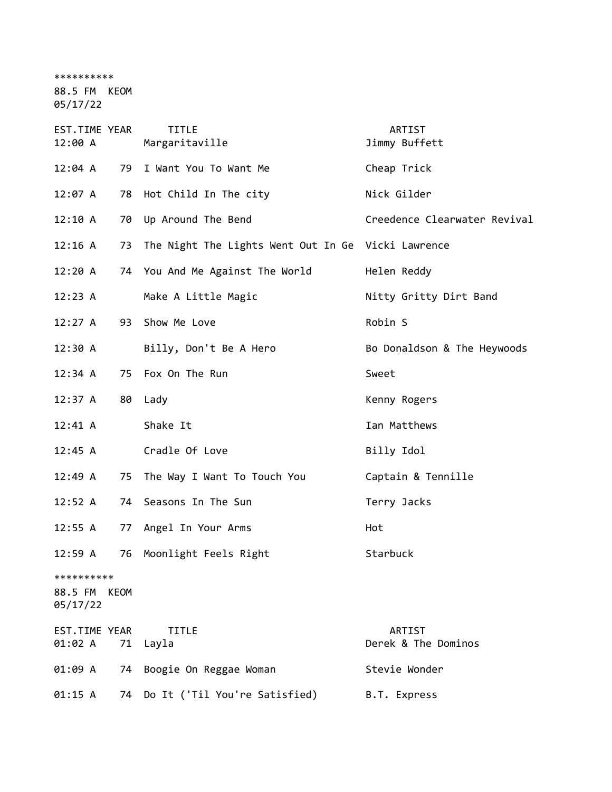\*\*\*\*\*\*\*\*\*\*

88.5 FM KEOM

05/17/22

| EST.TIME YEAR<br>12:00 A               |    | <b>TITLE</b><br>Margaritaville                        | ARTIST<br>Jimmy Buffett       |
|----------------------------------------|----|-------------------------------------------------------|-------------------------------|
| 12:04 A                                | 79 | I Want You To Want Me                                 | Cheap Trick                   |
| 12:07 A                                |    | 78 Hot Child In The city                              | Nick Gilder                   |
| 12:10 A                                |    | 70 Up Around The Bend                                 | Creedence Clearwater Revival  |
| 12:16 A                                |    | 73 The Night The Lights Went Out In Ge Vicki Lawrence |                               |
| 12:20 A                                |    | 74 You And Me Against The World                       | Helen Reddy                   |
| 12:23 A                                |    | Make A Little Magic                                   | Nitty Gritty Dirt Band        |
| 12:27 A                                |    | 93 Show Me Love                                       | Robin S                       |
| 12:30 A                                |    | Billy, Don't Be A Hero                                | Bo Donaldson & The Heywoods   |
| 12:34 A                                |    | 75 Fox On The Run                                     | Sweet                         |
| 12:37 A                                | 80 | Lady                                                  | Kenny Rogers                  |
| $12:41 \; A$                           |    | Shake It                                              | Ian Matthews                  |
| 12:45 A                                |    | Cradle Of Love                                        | Billy Idol                    |
| 12:49 A                                | 75 | The Way I Want To Touch You                           | Captain & Tennille            |
| 12:52 A                                |    | 74 Seasons In The Sun                                 | Terry Jacks                   |
| $12:55$ A                              |    | 77 Angel In Your Arms                                 | Hot                           |
| 12:59 A                                | 76 | Moonlight Feels Right                                 | Starbuck                      |
| **********<br>88.5 FM KEOM<br>05/17/22 |    |                                                       |                               |
| EST.TIME YEAR<br>01:02 A               | 71 | <b>TITLE</b><br>Layla                                 | ARTIST<br>Derek & The Dominos |
| 01:09 A                                |    | 74 Boogie On Reggae Woman                             | Stevie Wonder                 |
| 01:15 A                                |    | 74 Do It ('Til You're Satisfied)                      | B.T. Express                  |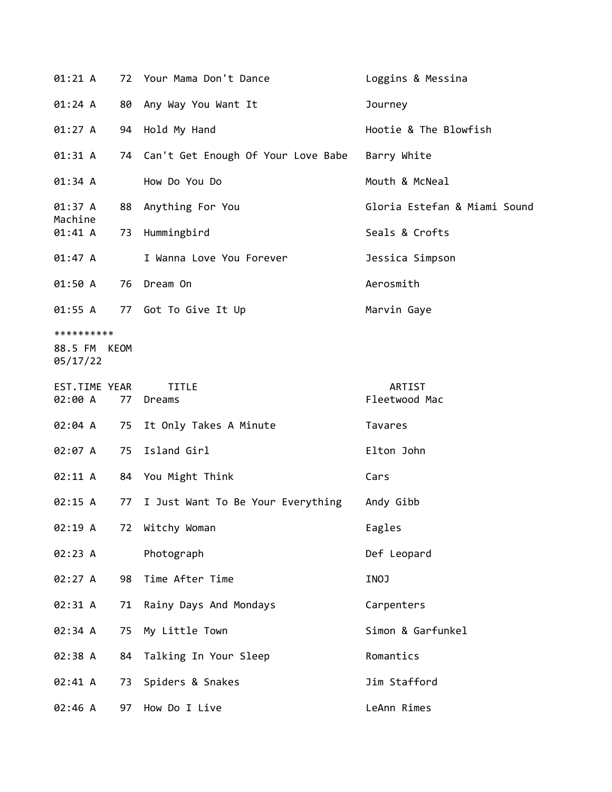| 01:21 A                                |    | 72 Your Mama Don't Dance              | Loggins & Messina            |
|----------------------------------------|----|---------------------------------------|------------------------------|
| 01:24 A                                | 80 | Any Way You Want It                   | Journey                      |
| 01:27 A                                |    | 94 Hold My Hand                       | Hootie & The Blowfish        |
| 01:31 A                                |    | 74 Can't Get Enough Of Your Love Babe | Barry White                  |
| 01:34 A                                |    | How Do You Do                         | Mouth & McNeal               |
| 01:37 A<br>Machine                     | 88 | Anything For You                      | Gloria Estefan & Miami Sound |
| 01:41 A                                | 73 | Hummingbird                           | Seals & Crofts               |
| 01:47 A                                |    | I Wanna Love You Forever              | Jessica Simpson              |
| 01:50 A                                |    | 76 Dream On                           | Aerosmith                    |
| 01:55 A                                |    | 77 Got To Give It Up                  | Marvin Gaye                  |
| **********<br>88.5 FM KEOM<br>05/17/22 |    |                                       |                              |
| EST.TIME YEAR<br>02:00 A               | 77 | <b>TITLE</b><br>Dreams                | ARTIST<br>Fleetwood Mac      |
| 02:04 A                                | 75 | It Only Takes A Minute                | Tavares                      |
| 02:07 A                                | 75 | Island Girl                           | Elton John                   |
| 02:11 A                                |    | 84 You Might Think                    | Cars                         |
| 02:15 A                                | 77 | I Just Want To Be Your Everything     | Andy Gibb                    |
| 02:19 A                                |    | 72 Witchy Woman                       | Eagles                       |
| 02:23 A                                |    | Photograph                            | Def Leopard                  |
| 02:27 A                                | 98 | Time After Time                       | INOJ                         |
| 02:31 A                                | 71 | Rainy Days And Mondays                | Carpenters                   |
| 02:34 A                                | 75 | My Little Town                        | Simon & Garfunkel            |
| 02:38 A                                | 84 | Talking In Your Sleep                 | Romantics                    |
| 02:41 A                                | 73 | Spiders & Snakes                      | Jim Stafford                 |
| 02:46 A                                | 97 | How Do I Live                         | LeAnn Rimes                  |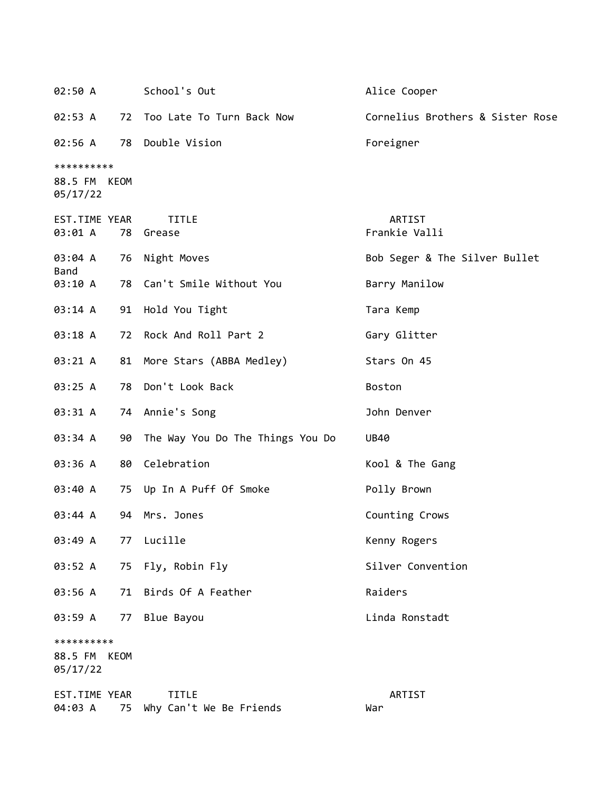| 02:50 A                                |      | School's Out                            | Alice Cooper                     |
|----------------------------------------|------|-----------------------------------------|----------------------------------|
| 02:53 A                                |      | 72 Too Late To Turn Back Now            | Cornelius Brothers & Sister Rose |
| 02:56 A                                |      | 78 Double Vision                        | Foreigner                        |
| **********<br>88.5 FM KEOM<br>05/17/22 |      |                                         |                                  |
| EST.TIME YEAR<br>03:01 A               | 78   | <b>TITLE</b><br>Grease                  | ARTIST<br>Frankie Valli          |
| 03:04 A<br>Band                        |      | 76 Night Moves                          | Bob Seger & The Silver Bullet    |
| 03:10 A                                |      | 78 Can't Smile Without You              | Barry Manilow                    |
| 03:14 A                                |      | 91 Hold You Tight                       | Tara Kemp                        |
| 03:18 A                                | 72   | Rock And Roll Part 2                    | Gary Glitter                     |
| 03:21 A                                |      | 81 More Stars (ABBA Medley)             | Stars On 45                      |
| 03:25 A                                | 78   | Don't Look Back                         | <b>Boston</b>                    |
| 03:31 A                                |      | 74 Annie's Song                         | John Denver                      |
| 03:34 A                                |      | 90 The Way You Do The Things You Do     | <b>UB40</b>                      |
| 03:36 A                                |      | 80 Celebration                          | Kool & The Gang                  |
| 03:40 A                                | 75   | Up In A Puff Of Smoke                   | Polly Brown                      |
| 03:44 A                                | 94   | Mrs. Jones                              | Counting Crows                   |
| 03:49 A                                | 77   | Lucille                                 | Kenny Rogers                     |
| 03:52 A                                | 75   | Fly, Robin Fly                          | Silver Convention                |
| 03:56 A                                | 71   | Birds Of A Feather                      | Raiders                          |
| 03:59 A                                | 77   | Blue Bayou                              | Linda Ronstadt                   |
| **********<br>88.5 FM<br>05/17/22      | KEOM |                                         |                                  |
| EST.TIME YEAR<br>04:03 A               | 75   | <b>TITLE</b><br>Why Can't We Be Friends | ARTIST<br>War                    |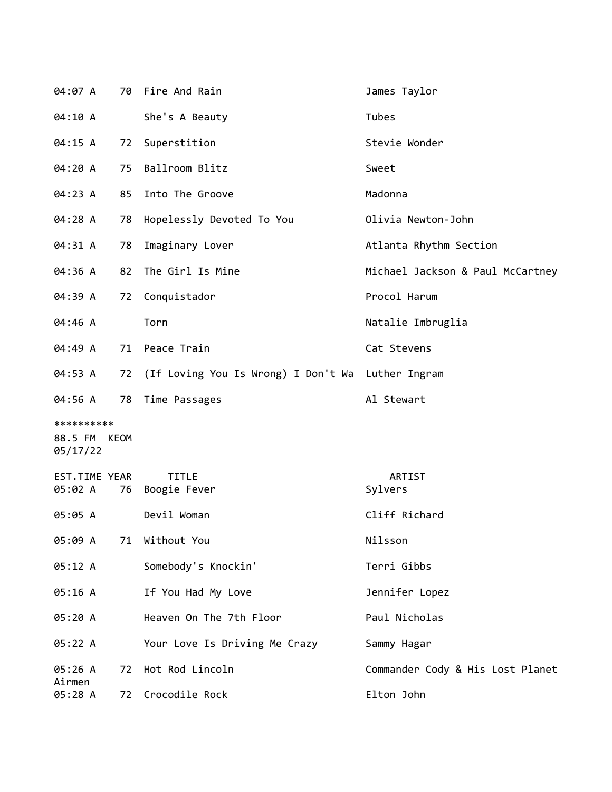| 04:07 A                  |    | 70 Fire And Rain                                     | James Taylor                     |
|--------------------------|----|------------------------------------------------------|----------------------------------|
| 04:10 A                  |    | She's A Beauty                                       | Tubes                            |
| 04:15 A                  | 72 | Superstition                                         | Stevie Wonder                    |
| 04:20 A                  | 75 | Ballroom Blitz                                       | Sweet                            |
| 04:23 A                  | 85 | Into The Groove                                      | Madonna                          |
| 04:28 A                  | 78 | Hopelessly Devoted To You                            | Olivia Newton-John               |
| 04:31 A                  | 78 | Imaginary Lover                                      | Atlanta Rhythm Section           |
| 04:36 A                  | 82 | The Girl Is Mine                                     | Michael Jackson & Paul McCartney |
| 04:39 A                  | 72 | Conquistador                                         | Procol Harum                     |
| 04:46 A                  |    | Torn                                                 | Natalie Imbruglia                |
| 04:49 A                  | 71 | Peace Train                                          | Cat Stevens                      |
| 04:53 A                  |    | 72 (If Loving You Is Wrong) I Don't Wa Luther Ingram |                                  |
| 04:56 A                  |    | 78 Time Passages                                     | Al Stewart                       |
| **********               |    |                                                      |                                  |
| 88.5 FM KEOM<br>05/17/22 |    |                                                      |                                  |
| EST.TIME YEAR            |    | <b>TITLE</b>                                         | ARTIST                           |
| 05:02 A                  | 76 | Boogie Fever                                         | Sylvers                          |
| 05:05 A                  |    | Devil Woman                                          | Cliff Richard                    |
| 05:09 A                  | 71 | Without You                                          | Nilsson                          |
| 05:12 A                  |    | Somebody's Knockin'                                  | Terri Gibbs                      |
| 05:16 A                  |    | If You Had My Love                                   | Jennifer Lopez                   |
| 05:20 A                  |    | Heaven On The 7th Floor                              | Paul Nicholas                    |
| 05:22 A                  |    | Your Love Is Driving Me Crazy                        | Sammy Hagar                      |
| 05:26 A<br>Airmen        | 72 | Hot Rod Lincoln                                      | Commander Cody & His Lost Planet |
| 05:28 A                  | 72 | Crocodile Rock                                       | Elton John                       |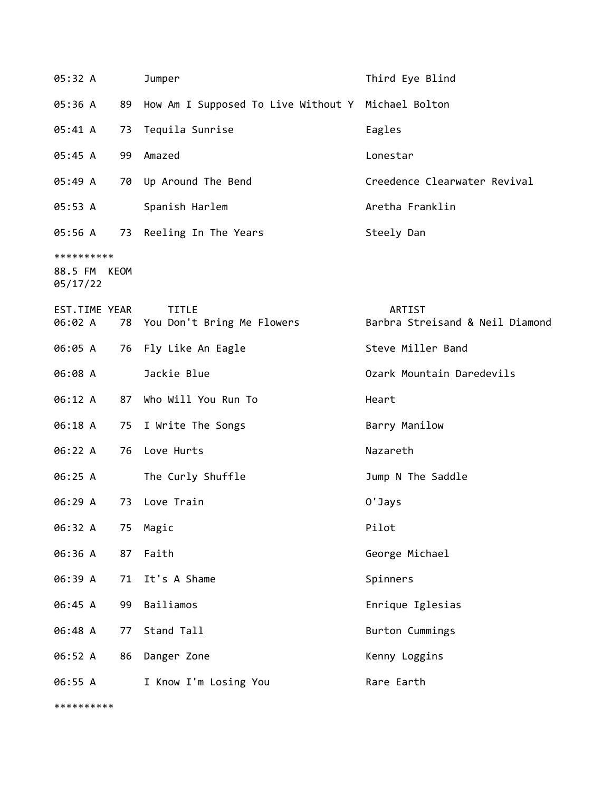| 05:32 A                  |    | Jumper                                             | Third Eye Blind                 |
|--------------------------|----|----------------------------------------------------|---------------------------------|
| 05:36 A                  | 89 | How Am I Supposed To Live Without Y Michael Bolton |                                 |
| 05:41 A                  | 73 | Tequila Sunrise                                    | Eagles                          |
| 05:45 A                  | 99 | Amazed                                             | Lonestar                        |
| 05:49 A                  | 70 | Up Around The Bend                                 | Creedence Clearwater Revival    |
| 05:53 A                  |    | Spanish Harlem                                     | Aretha Franklin                 |
| 05:56 A                  |    | 73 Reeling In The Years                            | Steely Dan                      |
| **********               |    |                                                    |                                 |
| 88.5 FM KEOM<br>05/17/22 |    |                                                    |                                 |
| EST.TIME YEAR            |    | <b>TITLE</b>                                       | ARTIST                          |
| 06:02 A                  |    | 78 You Don't Bring Me Flowers                      | Barbra Streisand & Neil Diamond |
| 06:05 A                  |    | 76 Fly Like An Eagle                               | Steve Miller Band               |
| 06:08 A                  |    | Jackie Blue                                        | Ozark Mountain Daredevils       |
| 06:12 A                  | 87 | Who Will You Run To                                | Heart                           |
| 06:18 A                  | 75 | I Write The Songs                                  | Barry Manilow                   |
| 06:22 A                  |    | 76 Love Hurts                                      | Nazareth                        |
| 06:25 A                  |    | The Curly Shuffle                                  | Jump N The Saddle               |
| 06:29 A                  | 73 | Love Train                                         | 0'Jays                          |
| 06:32 A                  | 75 | Magic                                              | Pilot                           |
| 06:36 A                  | 87 | Faith                                              | George Michael                  |
| 06:39 A                  | 71 | It's A Shame                                       | Spinners                        |
| 06:45 A                  | 99 | Bailiamos                                          | Enrique Iglesias                |
| 06:48 A                  | 77 | Stand Tall                                         | Burton Cummings                 |
| 06:52 A                  | 86 | Danger Zone                                        | Kenny Loggins                   |
| 06:55 A                  |    | I Know I'm Losing You                              | Rare Earth                      |

\*\*\*\*\*\*\*\*\*\*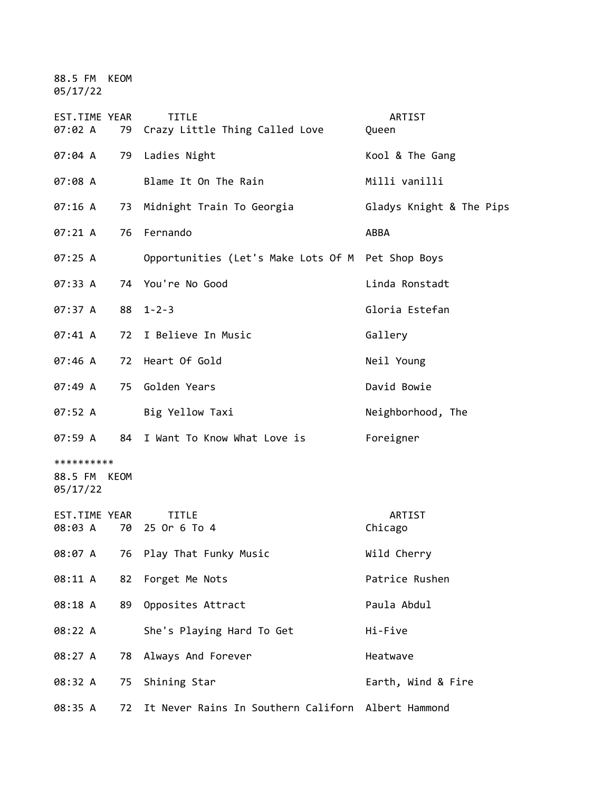88.5 FM KEOM 05/17/22

| EST.TIME YEAR<br>07:02 A               |    | <b>TITLE</b><br>79 Crazy Little Thing Called Love  | ARTIST<br>Queen          |
|----------------------------------------|----|----------------------------------------------------|--------------------------|
| 07:04 A                                | 79 | Ladies Night                                       | Kool & The Gang          |
| 07:08 A                                |    | Blame It On The Rain                               | Milli vanilli            |
| 07:16 A                                |    | 73 Midnight Train To Georgia                       | Gladys Knight & The Pips |
| 07:21 A                                | 76 | Fernando                                           | ABBA                     |
| 07:25 A                                |    | Opportunities (Let's Make Lots Of M Pet Shop Boys  |                          |
| 07:33 A                                |    | 74 You're No Good                                  | Linda Ronstadt           |
| 07:37 A                                |    | $88$ 1-2-3                                         | Gloria Estefan           |
| 07:41 A                                |    | 72 I Believe In Music                              | Gallery                  |
| 07:46 A                                | 72 | Heart Of Gold                                      | Neil Young               |
| 07:49 A                                | 75 | Golden Years                                       | David Bowie              |
| 07:52 A                                |    | Big Yellow Taxi                                    | Neighborhood, The        |
| 07:59 A                                |    | 84 I Want To Know What Love is                     | Foreigner                |
| **********<br>88.5 FM KEOM<br>05/17/22 |    |                                                    |                          |
| EST.TIME YEAR<br>08:03 A               |    | <b>TITLE</b><br>70 25 Or 6 To 4                    | ARTIST<br>Chicago        |
| 08:07 A                                | 76 | Play That Funky Music                              | Wild Cherry              |
| 08:11 A                                | 82 | Forget Me Nots                                     | Patrice Rushen           |
| 08:18 A                                | 89 | Opposites Attract                                  | Paula Abdul              |
| 08:22 A                                |    | She's Playing Hard To Get                          | Hi-Five                  |
| 08:27 A                                | 78 | Always And Forever                                 | Heatwave                 |
| 08:32 A                                | 75 | Shining Star                                       | Earth, Wind & Fire       |
| 08:35 A                                | 72 | It Never Rains In Southern Californ Albert Hammond |                          |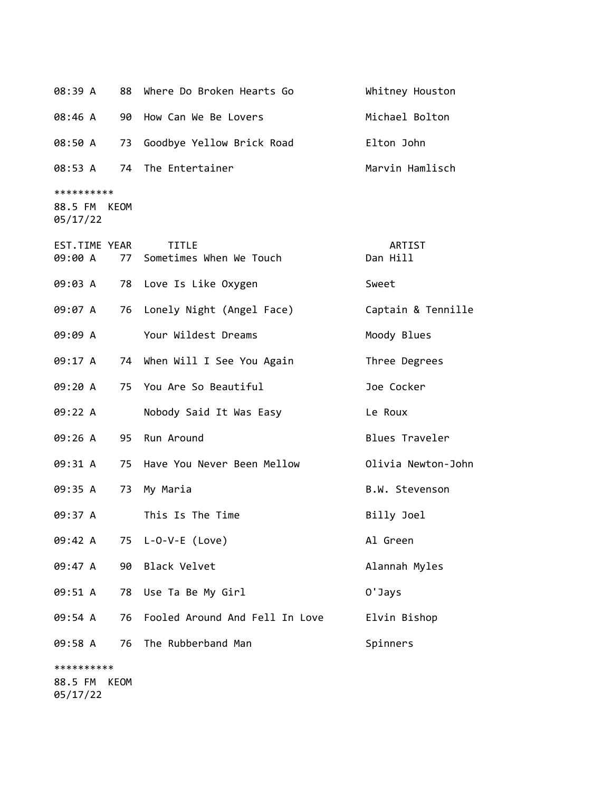| 08:39 A                                | 88 | Where Do Broken Hearts Go                  | Whitney Houston    |
|----------------------------------------|----|--------------------------------------------|--------------------|
| 08:46 A                                | 90 | How Can We Be Lovers                       | Michael Bolton     |
| 08:50 A                                | 73 | Goodbye Yellow Brick Road                  | Elton John         |
| 08:53 A                                |    | 74 The Entertainer                         | Marvin Hamlisch    |
| **********<br>88.5 FM KEOM<br>05/17/22 |    |                                            |                    |
| EST.TIME YEAR<br>09:00 A               |    | <b>TITLE</b><br>77 Sometimes When We Touch | ARTIST<br>Dan Hill |
| 09:03 A                                |    | 78 Love Is Like Oxygen                     | Sweet              |
| 09:07 A                                | 76 | Lonely Night (Angel Face)                  | Captain & Tennille |
| 09:09 A                                |    | Your Wildest Dreams                        | Moody Blues        |
| 09:17 A                                |    | 74 When Will I See You Again               | Three Degrees      |
| 09:20 A                                |    | 75 You Are So Beautiful                    | Joe Cocker         |
| 09:22 A                                |    | Nobody Said It Was Easy                    | Le Roux            |
| 09:26 A                                |    | 95 Run Around                              | Blues Traveler     |
| 09:31 A                                |    | 75 Have You Never Been Mellow              | Olivia Newton-John |
| 09:35 A                                | 73 | My Maria                                   | B.W. Stevenson     |
| 09:37 A                                |    | This Is The Time                           | Billy Joel         |
| 09:42 A                                |    | 75 L-O-V-E (Love)                          | Al Green           |
| 09:47 A                                |    | 90 Black Velvet                            | Alannah Myles      |
| 09:51 A                                |    | 78 Use Ta Be My Girl                       | 0'Jays             |
| 09:54 A                                | 76 | Fooled Around And Fell In Love             | Elvin Bishop       |
| 09:58 A                                | 76 | The Rubberband Man                         | Spinners           |
| **********<br>OO E EM VEOM             |    |                                            |                    |

88.5 FM KEOM 05/17/22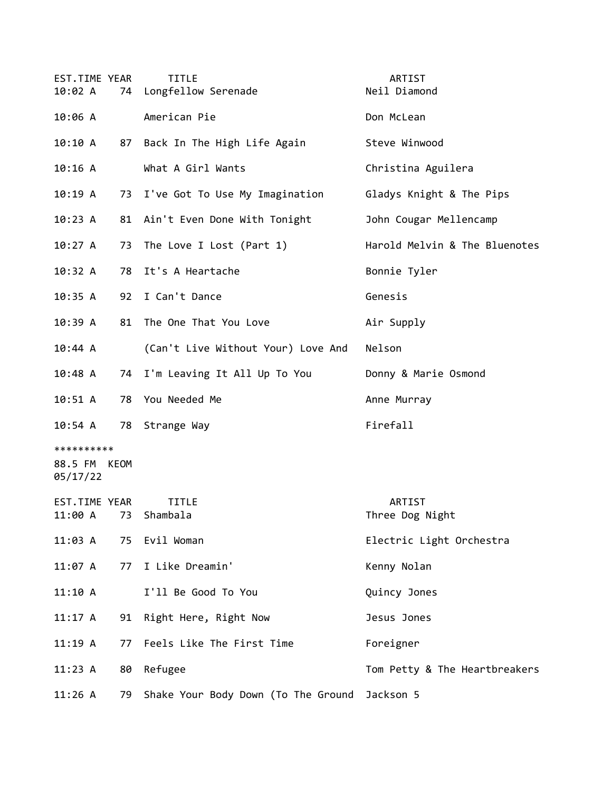| EST.TIME YEAR<br>10:02 A               |    | <b>TITLE</b><br>74 Longfellow Serenade        | ARTIST<br>Neil Diamond        |
|----------------------------------------|----|-----------------------------------------------|-------------------------------|
| 10:06 A                                |    | American Pie                                  | Don McLean                    |
| 10:10A                                 | 87 | Back In The High Life Again                   | Steve Winwood                 |
| 10:16 A                                |    | What A Girl Wants                             | Christina Aguilera            |
| 10:19A                                 |    | 73 I've Got To Use My Imagination             | Gladys Knight & The Pips      |
| 10:23 A                                |    | 81 Ain't Even Done With Tonight               | John Cougar Mellencamp        |
| 10:27 A                                | 73 | The Love I Lost (Part 1)                      | Harold Melvin & The Bluenotes |
| 10:32 A                                | 78 | It's A Heartache                              | Bonnie Tyler                  |
| 10:35 A                                | 92 | I Can't Dance                                 | Genesis                       |
| 10:39A                                 | 81 | The One That You Love                         | Air Supply                    |
| 10:44 A                                |    | (Can't Live Without Your) Love And            | Nelson                        |
| 10:48 A                                | 74 | I'm Leaving It All Up To You                  | Donny & Marie Osmond          |
| 10:51 A                                | 78 | You Needed Me                                 | Anne Murray                   |
| $10:54$ A                              |    | 78 Strange Way                                | Firefall                      |
| **********<br>88.5 FM KEOM<br>05/17/22 |    |                                               |                               |
| EST.TIME YEAR                          |    | <b>TITLE</b><br>11:00 A 73 Shambala           | ARTIST<br>Three Dog Night     |
| 11:03 A                                |    | 75 Evil Woman                                 | Electric Light Orchestra      |
| 11:07 A                                | 77 | I Like Dreamin'                               | Kenny Nolan                   |
| 11:10 A                                |    | I'll Be Good To You                           | Quincy Jones                  |
| 11:17 A                                | 91 | Right Here, Right Now                         | Jesus Jones                   |
| 11:19A                                 | 77 | Feels Like The First Time                     | Foreigner                     |
| 11:23 A                                | 80 | Refugee                                       | Tom Petty & The Heartbreakers |
| 11:26 A                                | 79 | Shake Your Body Down (To The Ground Jackson 5 |                               |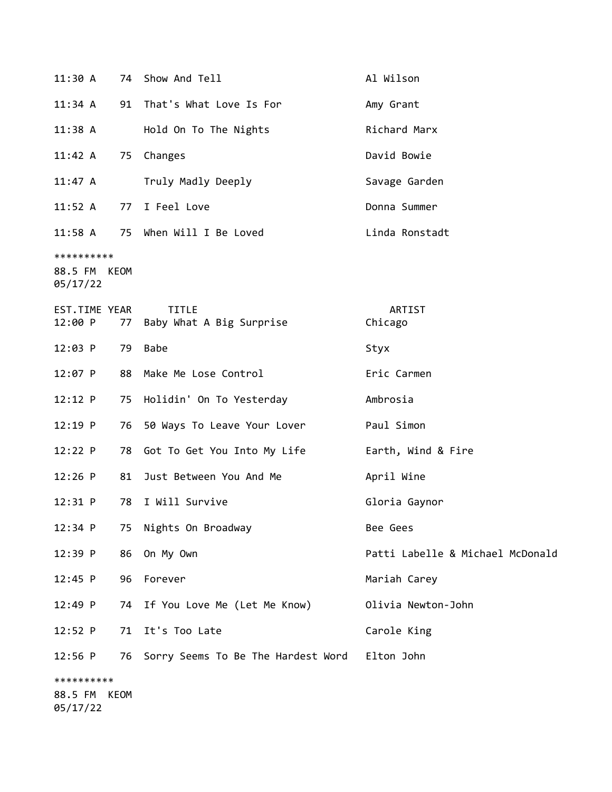| 11:30 A                                |    | 74 Show And Tell                              | Al Wilson                        |
|----------------------------------------|----|-----------------------------------------------|----------------------------------|
| $11:34$ A                              | 91 | That's What Love Is For                       | Amy Grant                        |
| $11:38$ A                              |    | Hold On To The Nights                         | Richard Marx                     |
| 11:42 A                                | 75 | Changes                                       | David Bowie                      |
| $11:47 \; A$                           |    | Truly Madly Deeply                            | Savage Garden                    |
| 11:52 A                                |    | 77 I Feel Love                                | Donna Summer                     |
| $11:58$ A                              |    | 75 When Will I Be Loved                       | Linda Ronstadt                   |
| **********<br>88.5 FM KEOM<br>05/17/22 |    |                                               |                                  |
| EST.TIME YEAR<br>12:00 P               | 77 | <b>TITLE</b><br>Baby What A Big Surprise      | ARTIST<br>Chicago                |
| $12:03$ P                              | 79 | <b>Babe</b>                                   | Styx                             |
| $12:07$ P                              |    | 88 Make Me Lose Control                       | Eric Carmen                      |
| 12:12 P                                |    | 75 Holidin' On To Yesterday                   | Ambrosia                         |
| $12:19$ P                              | 76 | 50 Ways To Leave Your Lover                   | Paul Simon                       |
| 12:22 P                                | 78 | Got To Get You Into My Life                   | Earth, Wind & Fire               |
| $12:26$ P                              | 81 | Just Between You And Me                       | April Wine                       |
| $12:31$ P                              | 78 | I Will Survive                                | Gloria Gaynor                    |
| 12:34 P                                | 75 | Nights On Broadway                            | Bee Gees                         |
| $12:39$ P                              | 86 | On My Own                                     | Patti Labelle & Michael McDonald |
| $12:45$ P                              | 96 | Forever                                       | Mariah Carey                     |
| 12:49 P                                |    | 74 If You Love Me (Let Me Know)               | Olivia Newton-John               |
| 12:52 P                                | 71 | It's Too Late                                 | Carole King                      |
| $12:56$ P                              | 76 | Sorry Seems To Be The Hardest Word Elton John |                                  |
| **********                             |    |                                               |                                  |
| 88.5 FM KEOM<br>05/17/22               |    |                                               |                                  |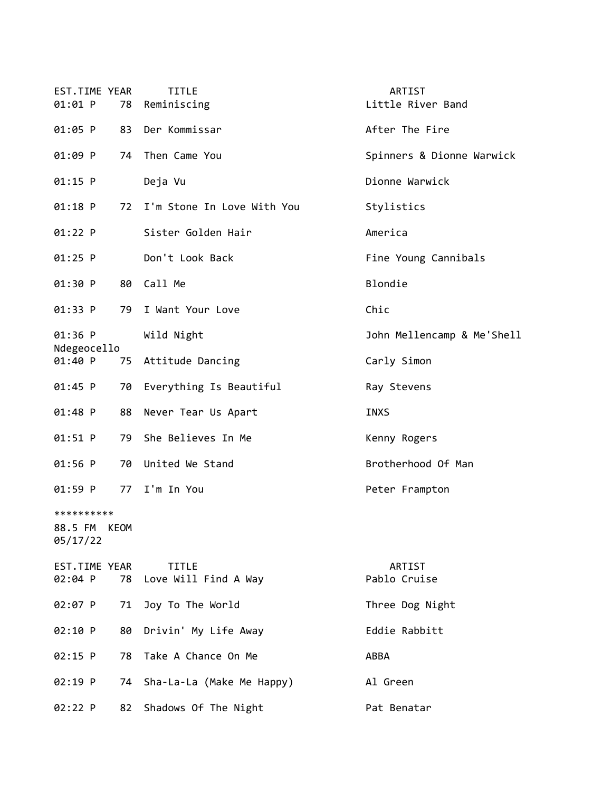| EST.TIME YEAR<br>01:01 P<br>78         | <b>TITLE</b><br>Reminiscing          | ARTIST<br>Little River Band |
|----------------------------------------|--------------------------------------|-----------------------------|
| 01:05 P<br>83                          | Der Kommissar                        | After The Fire              |
| 01:09 P<br>74                          | Then Came You                        | Spinners & Dionne Warwick   |
| 01:15 P                                | Deja Vu                              | Dionne Warwick              |
| $01:18$ P<br>72                        | I'm Stone In Love With You           | Stylistics                  |
| 01:22 P                                | Sister Golden Hair                   | America                     |
| $01:25$ P                              | Don't Look Back                      | Fine Young Cannibals        |
| 01:30 P<br>80                          | Call Me                              | Blondie                     |
| 01:33 P<br>79                          | I Want Your Love                     | Chic                        |
| 01:36 P                                | Wild Night                           | John Mellencamp & Me'Shell  |
| Ndegeocello<br>01:40 P<br>75           | Attitude Dancing                     | Carly Simon                 |
| 01:45 P<br>70                          | Everything Is Beautiful              | Ray Stevens                 |
| 01:48 P<br>88                          | Never Tear Us Apart                  | <b>INXS</b>                 |
| 01:51 P<br>79                          | She Believes In Me                   | Kenny Rogers                |
| $01:56$ P<br>70                        | United We Stand                      | Brotherhood Of Man          |
| 01:59 P<br>77                          | I'm In You                           | Peter Frampton              |
| **********<br>88.5 FM KEOM<br>05/17/22 |                                      |                             |
| EST.TIME YEAR<br>02:04 P<br>78         | <b>TITLE</b><br>Love Will Find A Way | ARTIST<br>Pablo Cruise      |
| 02:07 P<br>71                          | Joy To The World                     | Three Dog Night             |
| 02:10 P<br>80                          | Drivin' My Life Away                 | Eddie Rabbitt               |
| 02:15 P<br>78                          | Take A Chance On Me                  | ABBA                        |
| 02:19 P<br>74                          | Sha-La-La (Make Me Happy)            | Al Green                    |
| 02:22 P<br>82                          | Shadows Of The Night                 | Pat Benatar                 |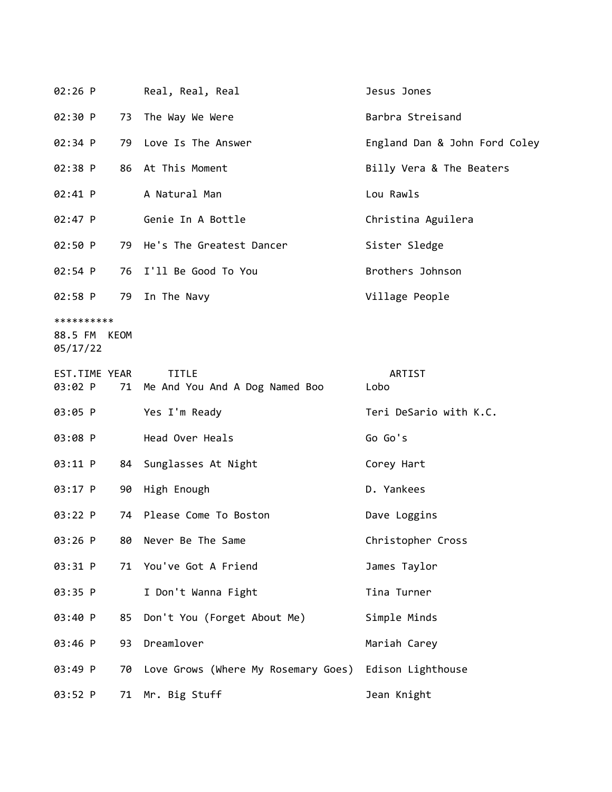| $02:26$ P                         |      | Real, Real, Real                                  | Jesus Jones                   |
|-----------------------------------|------|---------------------------------------------------|-------------------------------|
| 02:30 P                           |      | 73 The Way We Were                                | Barbra Streisand              |
| $02:34$ P                         |      | 79 Love Is The Answer                             | England Dan & John Ford Coley |
| 02:38 P                           |      | 86 At This Moment                                 | Billy Vera & The Beaters      |
| $02:41$ P                         |      | A Natural Man                                     | Lou Rawls                     |
| $02:47$ P                         |      | Genie In A Bottle                                 | Christina Aguilera            |
| 02:50 P                           |      | 79 He's The Greatest Dancer                       | Sister Sledge                 |
| $02:54$ P                         |      | 76 I'll Be Good To You                            | Brothers Johnson              |
| 02:58 P                           |      | 79 In The Navy                                    | Village People                |
| **********<br>88.5 FM<br>05/17/22 | KEOM |                                                   |                               |
| EST.TIME YEAR<br>03:02 P          |      | <b>TITLE</b><br>71 Me And You And A Dog Named Boo | ARTIST<br>Lobo                |
| 03:05 P                           |      | Yes I'm Ready                                     | Teri DeSario with K.C.        |
| 03:08 P                           |      | Head Over Heals                                   | Go Go's                       |
| 03:11 P                           | 84   | Sunglasses At Night                               | Corey Hart                    |
| 03:17 P                           |      | 90 High Enough                                    | D. Yankees                    |
| 03:22 P                           | 74   | Please Come To Boston                             | Dave Loggins                  |
| 03:26 P                           | 80   | Never Be The Same                                 | Christopher Cross             |
| 03:31 P                           | 71   | You've Got A Friend                               | James Taylor                  |
| 03:35 P                           |      | I Don't Wanna Fight                               | Tina Turner                   |
| 03:40 P                           | 85   | Don't You (Forget About Me)                       | Simple Minds                  |
| 03:46 P                           | 93   | Dreamlover                                        | Mariah Carey                  |
| 03:49 P                           | 70   | Love Grows (Where My Rosemary Goes)               | Edison Lighthouse             |
| 03:52 P                           | 71   | Mr. Big Stuff                                     | Jean Knight                   |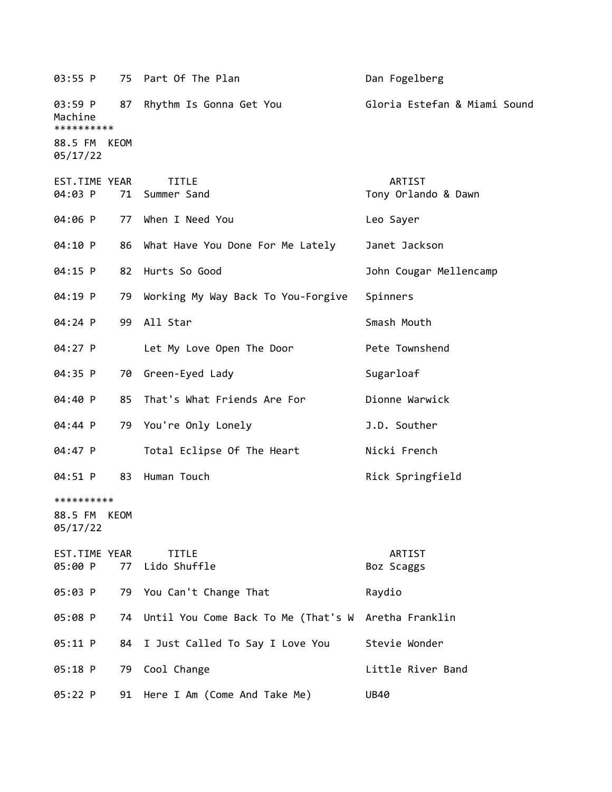| 03:55 P                                                 |            | 75 Part Of The Plan                    | Dan Fogelberg                 |
|---------------------------------------------------------|------------|----------------------------------------|-------------------------------|
| 03:59 P<br>Machine<br>**********<br>88.5 FM<br>05/17/22 | 87<br>KEOM | Rhythm Is Gonna Get You                | Gloria Estefan & Miami Sound  |
| EST.TIME YEAR<br>04:03 P                                |            | <b>TITLE</b><br>71 Summer Sand         | ARTIST<br>Tony Orlando & Dawn |
| 04:06 P                                                 |            | 77 When I Need You                     | Leo Sayer                     |
| 04:10 P                                                 | 86         | What Have You Done For Me Lately       | Janet Jackson                 |
| 04:15 P                                                 | 82         | Hurts So Good                          | John Cougar Mellencamp        |
| 04:19 P                                                 | 79         | Working My Way Back To You-Forgive     | Spinners                      |
| 04:24 P                                                 | 99         | All Star                               | Smash Mouth                   |
| 04:27 P                                                 |            | Let My Love Open The Door              | Pete Townshend                |
| 04:35 P                                                 | 70         | Green-Eyed Lady                        | Sugarloaf                     |
| 04:40 P                                                 | 85         | That's What Friends Are For            | Dionne Warwick                |
| 04:44 P                                                 | 79         | You're Only Lonely                     | J.D. Souther                  |
| 04:47 P                                                 |            | Total Eclipse Of The Heart             | Nicki French                  |
| 04:51 P                                                 | 83         | Human Touch                            | Rick Springfield              |
| **********<br>88.5 FM KEOM<br>05/17/22                  |            |                                        |                               |
| EST.TIME YEAR<br>05:00 P                                |            | <b>TITLE</b><br>77 Lido Shuffle        | ARTIST<br>Boz Scaggs          |
| 05:03 P                                                 |            | 79 You Can't Change That               | Raydio                        |
| 05:08 P                                                 |            | 74 Until You Come Back To Me (That's W | Aretha Franklin               |
| 05:11 P                                                 |            | 84 I Just Called To Say I Love You     | Stevie Wonder                 |
| 05:18 P                                                 |            | 79 Cool Change                         | Little River Band             |
| 05:22 P                                                 |            | 91 Here I Am (Come And Take Me)        | <b>UB40</b>                   |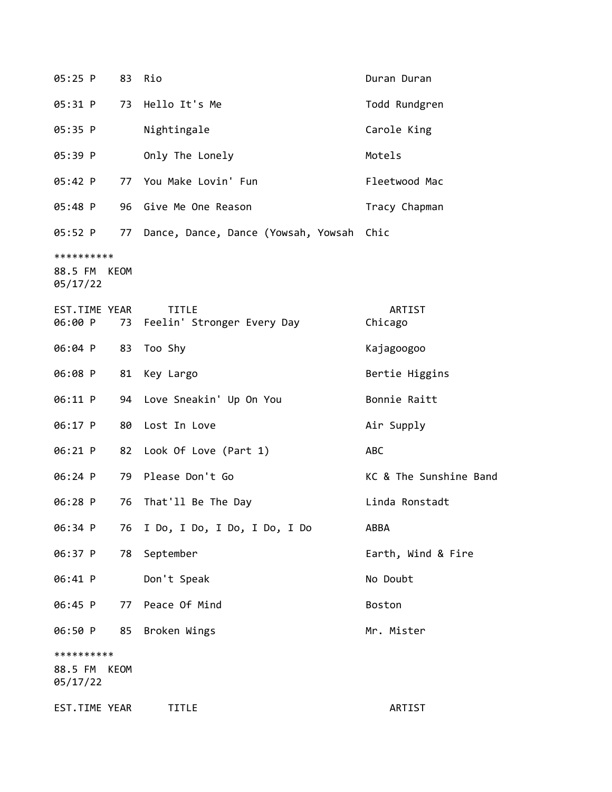| 05:25 P                           | 83   | Rio                                           | Duran Duran            |
|-----------------------------------|------|-----------------------------------------------|------------------------|
| 05:31 P                           |      | 73 Hello It's Me                              | Todd Rundgren          |
| 05:35 P                           |      | Nightingale                                   | Carole King            |
| 05:39 P                           |      | Only The Lonely                               | Motels                 |
| 05:42 P                           |      | 77 You Make Lovin' Fun                        | Fleetwood Mac          |
| 05:48 P                           |      | 96 Give Me One Reason                         | Tracy Chapman          |
| 05:52 P                           | 77   | Dance, Dance, Dance (Yowsah, Yowsah Chic      |                        |
| **********<br>88.5 FM<br>05/17/22 | KEOM |                                               |                        |
| EST.TIME YEAR<br>06:00 P          |      | <b>TITLE</b><br>73 Feelin' Stronger Every Day | ARTIST<br>Chicago      |
| 06:04 P                           | 83   | Too Shy                                       | Kajagoogoo             |
| 06:08 P                           |      | 81 Key Largo                                  | Bertie Higgins         |
| 06:11 P                           |      | 94 Love Sneakin' Up On You                    | Bonnie Raitt           |
| 06:17 P                           | 80   | Lost In Love                                  | Air Supply             |
| 06:21 P                           |      | 82 Look Of Love (Part 1)                      | ABC                    |
| 06:24 P                           |      | 79 Please Don't Go                            | KC & The Sunshine Band |
| 06:28 P                           | 76   | That'll Be The Day                            | Linda Ronstadt         |
| 06:34 P                           | 76   | I Do, I Do, I Do, I Do, I Do                  | ABBA                   |
| 06:37 P                           | 78   | September                                     | Earth, Wind & Fire     |
| 06:41 P                           |      | Don't Speak                                   | No Doubt               |
| 06:45 P                           | 77   | Peace Of Mind                                 | Boston                 |
| 06:50 P                           | 85   | Broken Wings                                  | Mr. Mister             |
| **********<br>88.5 FM<br>05/17/22 | KEOM |                                               |                        |
| EST.TIME YEAR                     |      | <b>TITLE</b>                                  | ARTIST                 |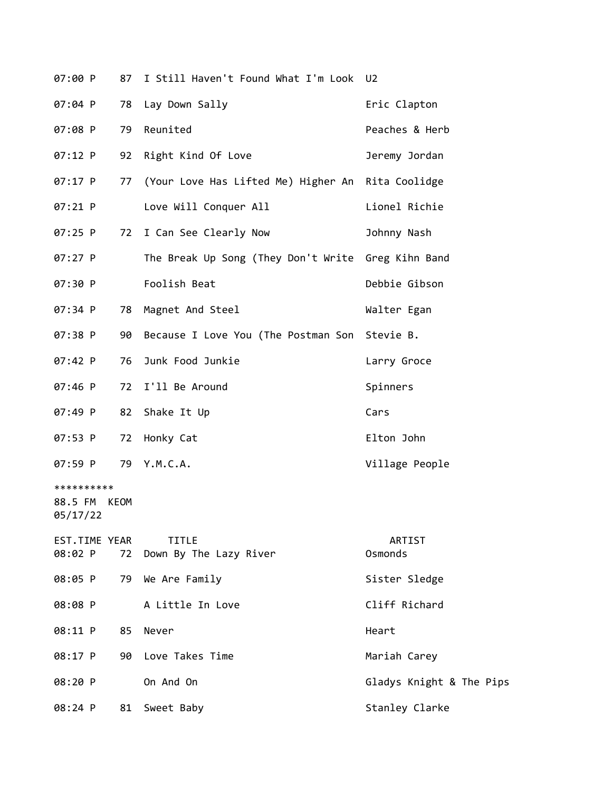| 07:00 P                           | 87   | I Still Haven't Found What I'm Look U2             |                          |
|-----------------------------------|------|----------------------------------------------------|--------------------------|
| 07:04 P                           | 78   | Lay Down Sally                                     | Eric Clapton             |
| 07:08 P                           | 79   | Reunited                                           | Peaches & Herb           |
| 07:12 P                           | 92   | Right Kind Of Love                                 | Jeremy Jordan            |
| 07:17 P                           | 77   | (Your Love Has Lifted Me) Higher An Rita Coolidge  |                          |
| $07:21$ P                         |      | Love Will Conquer All                              | Lionel Richie            |
| $07:25$ P                         |      | 72 I Can See Clearly Now                           | Johnny Nash              |
| 07:27 P                           |      | The Break Up Song (They Don't Write Greg Kihn Band |                          |
| 07:30 P                           |      | Foolish Beat                                       | Debbie Gibson            |
| 07:34 P                           | 78   | Magnet And Steel                                   | Walter Egan              |
| 07:38 P                           |      | 90 Because I Love You (The Postman Son Stevie B.   |                          |
| 07:42 P                           | 76   | Junk Food Junkie                                   | Larry Groce              |
| 07:46 P                           | 72   | I'll Be Around                                     | Spinners                 |
| 07:49 P                           | 82   | Shake It Up                                        | Cars                     |
| 07:53 P                           | 72   | Honky Cat                                          | Elton John               |
| 07:59 P                           | 79   | Y.M.C.A.                                           | Village People           |
| **********<br>88.5 FM<br>05/17/22 | KEOM |                                                    |                          |
| EST.TIME YEAR<br>08:02 P          |      | <b>TITLE</b><br>72 Down By The Lazy River          | ARTIST<br>Osmonds        |
| 08:05 P                           |      | 79 We Are Family                                   | Sister Sledge            |
| 08:08 P                           |      | A Little In Love                                   | Cliff Richard            |
| 08:11 P                           | 85   | Never                                              | Heart                    |
| 08:17 P                           |      | 90 Love Takes Time                                 | Mariah Carey             |
| 08:20 P                           |      | On And On                                          | Gladys Knight & The Pips |
| 08:24 P                           | 81   | Sweet Baby                                         | Stanley Clarke           |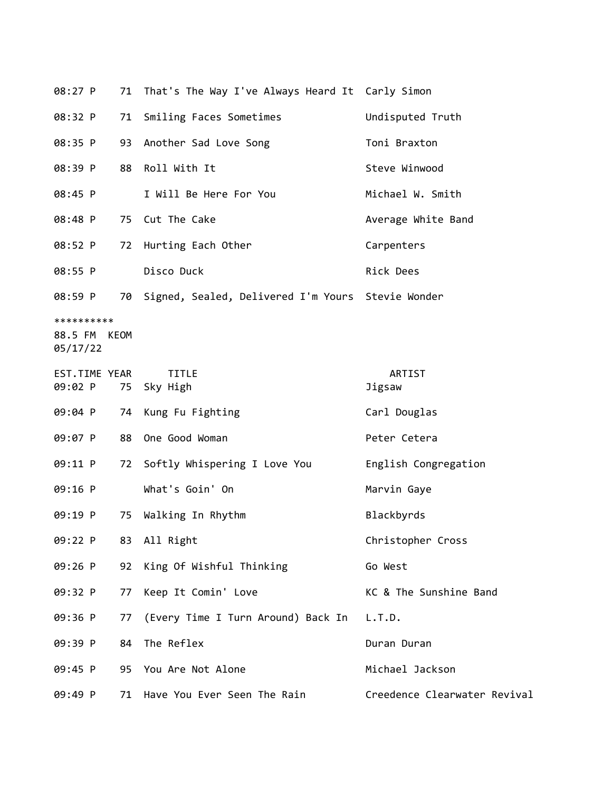| 08:27 P                                |    | 71 That's The Way I've Always Heard It Carly Simon   |                              |
|----------------------------------------|----|------------------------------------------------------|------------------------------|
| 08:32 P                                |    | 71 Smiling Faces Sometimes                           | Undisputed Truth             |
| 08:35 P                                |    | 93 Another Sad Love Song                             | Toni Braxton                 |
| 08:39 P                                | 88 | Roll With It                                         | Steve Winwood                |
| 08:45 P                                |    | I Will Be Here For You                               | Michael W. Smith             |
| 08:48 P                                |    | 75 Cut The Cake                                      | Average White Band           |
| 08:52 P                                |    | 72 Hurting Each Other                                | Carpenters                   |
| 08:55 P                                |    | Disco Duck                                           | Rick Dees                    |
| 08:59 P                                |    | 70 Signed, Sealed, Delivered I'm Yours Stevie Wonder |                              |
| **********<br>88.5 FM KEOM<br>05/17/22 |    |                                                      |                              |
| EST.TIME YEAR                          |    | <b>TITLE</b><br>09:02 P 75 Sky High                  | ARTIST<br>Jigsaw             |
| 09:04 P                                |    | 74 Kung Fu Fighting                                  | Carl Douglas                 |
| 09:07 P                                |    | 88 One Good Woman                                    | Peter Cetera                 |
| 09:11 P                                |    | 72 Softly Whispering I Love You                      | English Congregation         |
| 09:16 P                                |    | What's Goin' On                                      | Marvin Gaye                  |
| 09:19 P                                | 75 | Walking In Rhythm                                    | Blackbyrds                   |
| 09:22 P                                |    | 83 All Right                                         | Christopher Cross            |
| 09:26 P                                |    | 92 King Of Wishful Thinking                          | Go West                      |
| 09:32 P                                | 77 | Keep It Comin' Love                                  | KC & The Sunshine Band       |
| 09:36 P                                | 77 | (Every Time I Turn Around) Back In                   | L.T.D.                       |
| 09:39 P                                | 84 | The Reflex                                           | Duran Duran                  |
| 09:45 P                                |    | 95 You Are Not Alone                                 | Michael Jackson              |
| 09:49 P                                |    | 71 Have You Ever Seen The Rain                       | Creedence Clearwater Revival |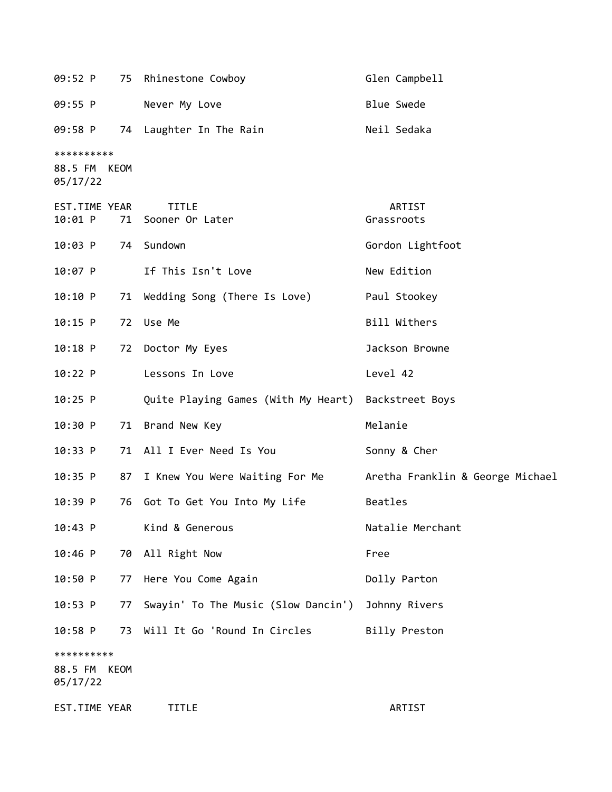|                                        |    | 09:52 P 75 Rhinestone Cowboy                        | Glen Campbell                    |
|----------------------------------------|----|-----------------------------------------------------|----------------------------------|
| 09:55 P                                |    | Never My Love                                       | <b>Blue Swede</b>                |
| 09:58 P                                |    | 74 Laughter In The Rain                             | Neil Sedaka                      |
| **********<br>88.5 FM KEOM<br>05/17/22 |    |                                                     |                                  |
| EST.TIME YEAR<br>10:01 P               |    | <b>TITLE</b><br>71 Sooner Or Later                  | ARTIST<br>Grassroots             |
| $10:03$ P                              |    | 74 Sundown                                          | Gordon Lightfoot                 |
| 10:07 P                                |    | If This Isn't Love                                  | New Edition                      |
| 10:10 P                                |    | 71 Wedding Song (There Is Love)                     | Paul Stookey                     |
| $10:15$ P                              |    | 72 Use Me                                           | Bill Withers                     |
| $10:18$ P                              |    | 72 Doctor My Eyes                                   | Jackson Browne                   |
| $10:22$ P                              |    | Lessons In Love                                     | Level 42                         |
| $10:25$ P                              |    | Quite Playing Games (With My Heart) Backstreet Boys |                                  |
| 10:30 P                                |    | 71 Brand New Key                                    | Melanie                          |
| 10:33 P                                |    | 71 All I Ever Need Is You                           | Sonny & Cher                     |
| 10:35 P                                |    | 87 I Knew You Were Waiting For Me                   | Aretha Franklin & George Michael |
| $10:39$ P                              |    | 76 Got To Get You Into My Life                      | Beatles                          |
| 10:43 P                                |    | Kind & Generous                                     | Natalie Merchant                 |
| 10:46 P                                |    | 70 All Right Now                                    | Free                             |
| 10:50 P                                | 77 | Here You Come Again                                 | Dolly Parton                     |
| $10:53$ P                              | 77 | Swayin' To The Music (Slow Dancin')                 | Johnny Rivers                    |
| $10:58$ P                              |    | 73 Will It Go 'Round In Circles                     | Billy Preston                    |
| **********<br>88.5 FM KEOM<br>05/17/22 |    |                                                     |                                  |
| EST.TIME YEAR                          |    | <b>TITLE</b>                                        | ARTIST                           |